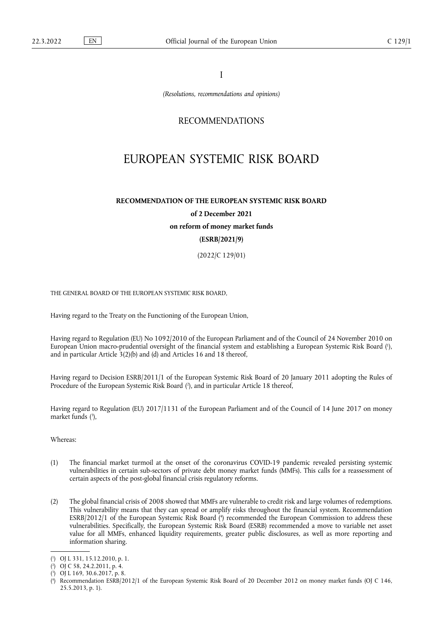I

*(Resolutions, recommendations and opinions)*

## RECOMMENDATIONS

# EUROPEAN SYSTEMIC RISK BOARD

# **RECOMMENDATION OF THE EUROPEAN SYSTEMIC RISK BOARD of 2 December 2021 on reform of money market funds (ESRB/2021/9)**

(2022/C 129/01)

THE GENERAL BOARD OF THE EUROPEAN SYSTEMIC RISK BOARD,

Having regard to the Treaty on the Functioning of the European Union,

<span id="page-0-4"></span>Having regard to Regulation (EU) No 1092/2010 of the European Parliament and of the Council of 24 November 2010 on European Union macro-prudential oversight of the financial system and establishing a European Systemic Risk Board [\(](#page-0-0) 1 ), and in particular Article 3(2)(b) and (d) and Articles 16 and 18 thereof,

<span id="page-0-5"></span>Having regard to Decision ESRB/2011/1 of the European Systemic Risk Board of 20 January 2011 adopting the Rules of Procedure of the European Systemic Risk Board ( 2 [\),](#page-0-1) and in particular Article 18 thereof,

<span id="page-0-6"></span>Having regard to Regulation (EU) 2017/1131 of the European Parliament and of the Council of 14 June 2017 on money market funds ( 3 [\),](#page-0-2)

Whereas:

- (1) The financial market turmoil at the onset of the coronavirus COVID-19 pandemic revealed persisting systemic vulnerabilities in certain sub-sectors of private debt money market funds (MMFs). This calls for a reassessment of certain aspects of the post-global financial crisis regulatory reforms.
- <span id="page-0-7"></span>(2) The global financial crisis of 2008 showed that MMFs are vulnerable to credit risk and large volumes of redemptions. This vulnerability means that they can spread or amplify risks throughout the financial system. Recommendation ESRB/2012/1 of the European Systemic Risk Board [\(](#page-0-3)\*) recommended the European Commission to address these vulnerabilities. Specifically, the European Systemic Risk Board (ESRB) recommended a move to variable net asset value for all MMFs, enhanced liquidity requirements, greater public disclosures, as well as more reporting and information sharing.

<span id="page-0-0"></span>[<sup>\(</sup>](#page-0-4) 1 ) OJ L 331, 15.12.2010, p. 1.

<span id="page-0-1"></span>[<sup>\(</sup>](#page-0-5) 2 ) OJ C 58, 24.2.2011, p. 4.

<span id="page-0-2"></span>[<sup>\(</sup>](#page-0-6) 3 ) OJ L 169, 30.6.2017, p. 8.

<span id="page-0-3"></span>[<sup>\(</sup>](#page-0-7) 4 ) Recommendation ESRB/2012/1 of the European Systemic Risk Board of 20 December 2012 on money market funds (OJ C 146, 25.5.2013, p. 1).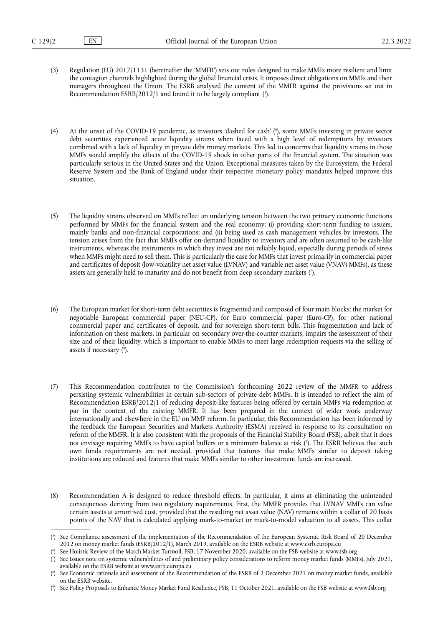- <span id="page-1-5"></span>(3) Regulation (EU) 2017/1131 (hereinafter the 'MMFR') sets out rules designed to make MMFs more resilient and limit the contagion channels highlighted during the global financial crisis. It imposes direct obligations on MMFs and their managers throughout the Union. The ESRB analysed the content of the MMFR against the provisions set out in Recommendation ESRB/2012/1 and found it to be largely compliant [\(](#page-1-0) 5 ).
- <span id="page-1-6"></span>(4) At the onset of the COVID-19 pandemic, as investors 'dashed for cash' ( 6 [\),](#page-1-1) some MMFs investing in private sector debt securities experienced acute liquidity strains when faced with a high level of redemptions by investors combined with a lack of liquidity in private debt money markets. This led to concerns that liquidity strains in those MMFs would amplify the effects of the COVID-19 shock in other parts of the financial system. The situation was particularly serious in the United States and the Union. Exceptional measures taken by the Eurosystem, the Federal Reserve System and the Bank of England under their respective monetary policy mandates helped improve this situation.
- (5) The liquidity strains observed on MMFs reflect an underlying tension between the two primary economic functions performed by MMFs for the financial system and the real economy: (i) providing short-term funding to issuers, mainly banks and non-financial corporations; and (ii) being used as cash management vehicles by investors. The tension arises from the fact that MMFs offer on-demand liquidity to investors and are often assumed to be cash-like instruments, whereas the instruments in which they invest are not reliably liquid, especially during periods of stress when MMFs might need to sell them. This is particularly the case for MMFs that invest primarily in commercial paper and certificates of deposit (low-volatility net asset value (LVNAV) and variable net asset value (VNAV) MMFs), as these assets are generally held to maturity and do not benefit from deep secondary markets [\(](#page-1-2) 7 ).
- <span id="page-1-8"></span><span id="page-1-7"></span>(6) The European market for short-term debt securities is fragmented and composed of four main blocks: the market for negotiable European commercial paper (NEU-CP), for Euro commercial paper (Euro-CP), for other national commercial paper and certificates of deposit, and for sovereign short-term bills. This fragmentation and lack of information on these markets, in particular on secondary over-the-counter markets, impairs the assessment of their size and of their liquidity, which is important to enable MMFs to meet large redemption requests via the selling of assets if necessary ( 8 [\).](#page-1-3)
- <span id="page-1-9"></span>(7) This Recommendation contributes to the Commission's forthcoming 2022 review of the MMFR to address persisting systemic vulnerabilities in certain sub-sectors of private debt MMFs. It is intended to reflect the aim of Recommendation ESRB/2012/1 of reducing deposit-like features being offered by certain MMFs via redemption at par in the context of the existing MMFR. It has been prepared in the context of wider work underway internationally and elsewhere in the EU on MMF reform. In particular, this Recommendation has been informed by the feedback the European Securities and Markets Authority (ESMA) received in response to its consultation on reform of the MMFR. It is also consistent with the proposals of the Financial Stability Board (FSB), albeit that it does not envisage requiring MMFs to have capital buffers or a minimum balance at risk ( 9 [\).](#page-1-4) The ESRB believes that such own funds requirements are not needed, provided that features that make MMFs similar to deposit taking institutions are reduced and features that make MMFs similar to other investment funds are increased.
- (8) Recommendation A is designed to reduce threshold effects. In particular, it aims at eliminating the unintended consequences deriving from two regulatory requirements. First, the MMFR provides that LVNAV MMFs can value certain assets at amortised cost, provided that the resulting net asset value (NAV) remains within a collar of 20 basis points of the NAV that is calculated applying mark-to-market or mark-to-model valuation to all assets. This collar

<span id="page-1-0"></span>[<sup>\(</sup>](#page-1-5) 5 ) See Compliance assessment of the implementation of the Recommendation of the European Systemic Risk Board of 20 December 2012 on money market funds (ESRB/2012/1), March 2019, available on the ESRB website at <www.esrb.europa.eu>

<span id="page-1-1"></span>[<sup>\(</sup>](#page-1-6) 6 ) See Holistic Review of the March Market Turmoil, FSB, 17 November 2020, available on the FSB website at <www.fsb.org>

<span id="page-1-2"></span>[<sup>\(</sup>](#page-1-7) 7 ) See Issues note on systemic vulnerabilities of and preliminary policy considerations to reform money market funds (MMFs), July 2021, available on the ESRB website at <www.esrb.europa.eu>

<span id="page-1-3"></span>[<sup>\(</sup>](#page-1-8) 8 ) See Economic rationale and assessment of the Recommendation of the ESRB of 2 December 2021 on money market funds, available on the ESRB website.

<span id="page-1-4"></span><sup>(</sup> 9 [\)](#page-1-9) See Policy Proposals to Enhance Money Market Fund Resilience, FSB, 11 October 2021, available on the FSB website at <www.fsb.org>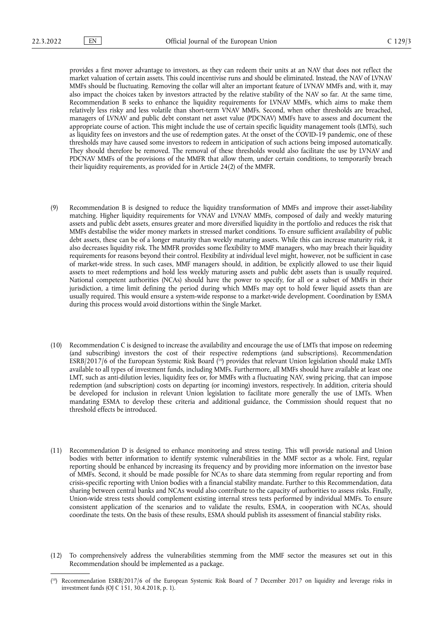provides a first mover advantage to investors, as they can redeem their units at an NAV that does not reflect the market valuation of certain assets. This could incentivise runs and should be eliminated. Instead, the NAV of LVNAV MMFs should be fluctuating. Removing the collar will alter an important feature of LVNAV MMFs and, with it, may also impact the choices taken by investors attracted by the relative stability of the NAV so far. At the same time, Recommendation B seeks to enhance the liquidity requirements for LVNAV MMFs, which aims to make them relatively less risky and less volatile than short-term VNAV MMFs. Second, when other thresholds are breached, managers of LVNAV and public debt constant net asset value (PDCNAV) MMFs have to assess and document the appropriate course of action. This might include the use of certain specific liquidity management tools (LMTs), such as liquidity fees on investors and the use of redemption gates. At the onset of the COVID-19 pandemic, one of these thresholds may have caused some investors to redeem in anticipation of such actions being imposed automatically. They should therefore be removed. The removal of these thresholds would also facilitate the use by LVNAV and PDCNAV MMFs of the provisions of the MMFR that allow them, under certain conditions, to temporarily breach their liquidity requirements, as provided for in Article 24(2) of the MMFR.

- (9) Recommendation B is designed to reduce the liquidity transformation of MMFs and improve their asset-liability matching. Higher liquidity requirements for VNAV and LVNAV MMFs, composed of daily and weekly maturing assets and public debt assets, ensures greater and more diversified liquidity in the portfolio and reduces the risk that MMFs destabilise the wider money markets in stressed market conditions. To ensure sufficient availability of public debt assets, these can be of a longer maturity than weekly maturing assets. While this can increase maturity risk, it also decreases liquidity risk. The MMFR provides some flexibility to MMF managers, who may breach their liquidity requirements for reasons beyond their control. Flexibility at individual level might, however, not be sufficient in case of market-wide stress. In such cases, MMF managers should, in addition, be explicitly allowed to use their liquid assets to meet redemptions and hold less weekly maturing assets and public debt assets than is usually required. National competent authorities (NCAs) should have the power to specify, for all or a subset of MMFs in their jurisdiction, a time limit defining the period during which MMFs may opt to hold fewer liquid assets than are usually required. This would ensure a system-wide response to a market-wide development. Coordination by ESMA during this process would avoid distortions within the Single Market.
- <span id="page-2-1"></span>(10) Recommendation C is designed to increase the availability and encourage the use of LMTs that impose on redeeming (and subscribing) investors the cost of their respective redemptions (and subscriptions). Recommendation ESRB/2017/6 of the European Systemic Risk Board ( [10\)](#page-2-0) provides that relevant Union legislation should make LMTs available to all types of investment funds, including MMFs. Furthermore, all MMFs should have available at least one LMT, such as anti-dilution levies, liquidity fees or, for MMFs with a fluctuating NAV, swing pricing, that can impose redemption (and subscription) costs on departing (or incoming) investors, respectively. In addition, criteria should be developed for inclusion in relevant Union legislation to facilitate more generally the use of LMTs. When mandating ESMA to develop these criteria and additional guidance, the Commission should request that no threshold effects be introduced.
- (11) Recommendation D is designed to enhance monitoring and stress testing. This will provide national and Union bodies with better information to identify systemic vulnerabilities in the MMF sector as a whole. First, regular reporting should be enhanced by increasing its frequency and by providing more information on the investor base of MMFs. Second, it should be made possible for NCAs to share data stemming from regular reporting and from crisis-specific reporting with Union bodies with a financial stability mandate. Further to this Recommendation, data sharing between central banks and NCAs would also contribute to the capacity of authorities to assess risks. Finally, Union-wide stress tests should complement existing internal stress tests performed by individual MMFs. To ensure consistent application of the scenarios and to validate the results, ESMA, in cooperation with NCAs, should coordinate the tests. On the basis of these results, ESMA should publish its assessment of financial stability risks.

<sup>(12)</sup> To comprehensively address the vulnerabilities stemming from the MMF sector the measures set out in this Recommendation should be implemented as a package.

<span id="page-2-0"></span><sup>(</sup> [10\)](#page-2-1) Recommendation ESRB/2017/6 of the European Systemic Risk Board of 7 December 2017 on liquidity and leverage risks in investment funds (OJ C 151, 30.4.2018, p. 1).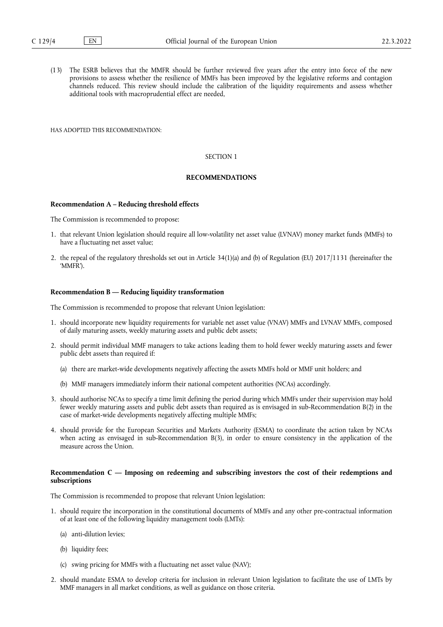(13) The ESRB believes that the MMFR should be further reviewed five years after the entry into force of the new provisions to assess whether the resilience of MMFs has been improved by the legislative reforms and contagion channels reduced. This review should include the calibration of the liquidity requirements and assess whether additional tools with macroprudential effect are needed,

HAS ADOPTED THIS RECOMMENDATION:

#### SECTION 1

#### **RECOMMENDATIONS**

#### **Recommendation A – Reducing threshold effects**

The Commission is recommended to propose:

- 1. that relevant Union legislation should require all low-volatility net asset value (LVNAV) money market funds (MMFs) to have a fluctuating net asset value;
- 2. the repeal of the regulatory thresholds set out in Article 34(1)(a) and (b) of Regulation (EU) 2017/1131 (hereinafter the 'MMFR').

#### **Recommendation B — Reducing liquidity transformation**

The Commission is recommended to propose that relevant Union legislation:

- 1. should incorporate new liquidity requirements for variable net asset value (VNAV) MMFs and LVNAV MMFs, composed of daily maturing assets, weekly maturing assets and public debt assets;
- 2. should permit individual MMF managers to take actions leading them to hold fewer weekly maturing assets and fewer public debt assets than required if:
	- (a) there are market-wide developments negatively affecting the assets MMFs hold or MMF unit holders; and
	- (b) MMF managers immediately inform their national competent authorities (NCAs) accordingly.
- 3. should authorise NCAs to specify a time limit defining the period during which MMFs under their supervision may hold fewer weekly maturing assets and public debt assets than required as is envisaged in sub-Recommendation B(2) in the case of market-wide developments negatively affecting multiple MMFs;
- 4. should provide for the European Securities and Markets Authority (ESMA) to coordinate the action taken by NCAs when acting as envisaged in sub-Recommendation B(3), in order to ensure consistency in the application of the measure across the Union.

#### **Recommendation C — Imposing on redeeming and subscribing investors the cost of their redemptions and subscriptions**

The Commission is recommended to propose that relevant Union legislation:

- 1. should require the incorporation in the constitutional documents of MMFs and any other pre-contractual information of at least one of the following liquidity management tools (LMTs):
	- (a) anti-dilution levies;
	- (b) liquidity fees;
	- (c) swing pricing for MMFs with a fluctuating net asset value (NAV);
- 2. should mandate ESMA to develop criteria for inclusion in relevant Union legislation to facilitate the use of LMTs by MMF managers in all market conditions, as well as guidance on those criteria.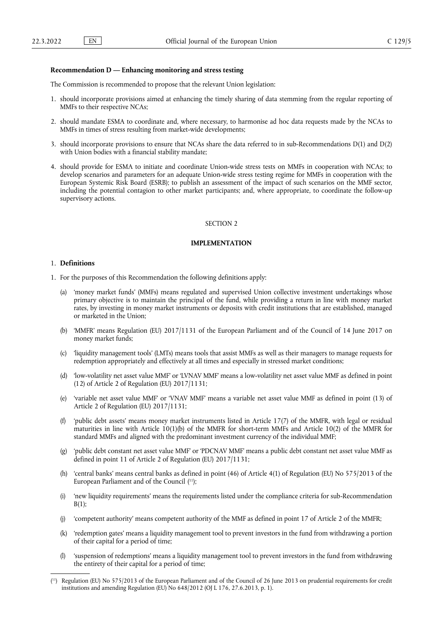#### **Recommendation D — Enhancing monitoring and stress testing**

The Commission is recommended to propose that the relevant Union legislation:

- 1. should incorporate provisions aimed at enhancing the timely sharing of data stemming from the regular reporting of MMFs to their respective NCAs;
- 2. should mandate ESMA to coordinate and, where necessary, to harmonise ad hoc data requests made by the NCAs to MMFs in times of stress resulting from market-wide developments;
- 3. should incorporate provisions to ensure that NCAs share the data referred to in sub-Recommendations D(1) and D(2) with Union bodies with a financial stability mandate;
- 4. should provide for ESMA to initiate and coordinate Union-wide stress tests on MMFs in cooperation with NCAs; to develop scenarios and parameters for an adequate Union-wide stress testing regime for MMFs in cooperation with the European Systemic Risk Board (ESRB); to publish an assessment of the impact of such scenarios on the MMF sector, including the potential contagion to other market participants; and, where appropriate, to coordinate the follow-up supervisory actions.

## SECTION 2

### **IMPLEMENTATION**

#### 1. **Definitions**

- 1. For the purposes of this Recommendation the following definitions apply:
	- (a) 'money market funds' (MMFs) means regulated and supervised Union collective investment undertakings whose primary objective is to maintain the principal of the fund, while providing a return in line with money market rates, by investing in money market instruments or deposits with credit institutions that are established, managed or marketed in the Union;
	- (b) 'MMFR' means Regulation (EU) 2017/1131 of the European Parliament and of the Council of 14 June 2017 on money market funds;
	- (c) 'liquidity management tools' (LMTs) means tools that assist MMFs as well as their managers to manage requests for redemption appropriately and effectively at all times and especially in stressed market conditions;
	- (d) 'low-volatility net asset value MMF' or 'LVNAV MMF' means a low-volatility net asset value MMF as defined in point (12) of Article 2 of Regulation (EU) 2017/1131;
	- (e) 'variable net asset value MMF' or 'VNAV MMF' means a variable net asset value MMF as defined in point (13) of Article 2 of Regulation (EU) 2017/1131;
	- (f) 'public debt assets' means money market instruments listed in Article 17(7) of the MMFR, with legal or residual maturities in line with Article 10(1)(b) of the MMFR for short-term MMFs and Article 10(2) of the MMFR for standard MMFs and aligned with the predominant investment currency of the individual MMF;
	- (g) 'public debt constant net asset value MMF' or 'PDCNAV MMF' means a public debt constant net asset value MMF as defined in point 11 of Article 2 of Regulation (EU) 2017/1131;
	- 'central banks' means central banks as defined in point (46) of Article 4(1) of Regulation (EU) No  $575/2013$  of the European Parliament and of the Council ([11\)](#page-4-0);
	- (i) 'new liquidity requirements' means the requirements listed under the compliance criteria for sub-Recommendation  $B(1)$ ;
	- (j) 'competent authority' means competent authority of the MMF as defined in point 17 of Article 2 of the MMFR;
	- (k) 'redemption gates' means a liquidity management tool to prevent investors in the fund from withdrawing a portion of their capital for a period of time;
	- (l) 'suspension of redemptions' means a liquidity management tool to prevent investors in the fund from withdrawing the entirety of their capital for a period of time;

<span id="page-4-1"></span><span id="page-4-0"></span><sup>(</sup> [11\)](#page-4-1) Regulation (EU) No 575/2013 of the European Parliament and of the Council of 26 June 2013 on prudential requirements for credit institutions and amending Regulation (EU) No 648/2012 (OJ L 176, 27.6.2013, p. 1).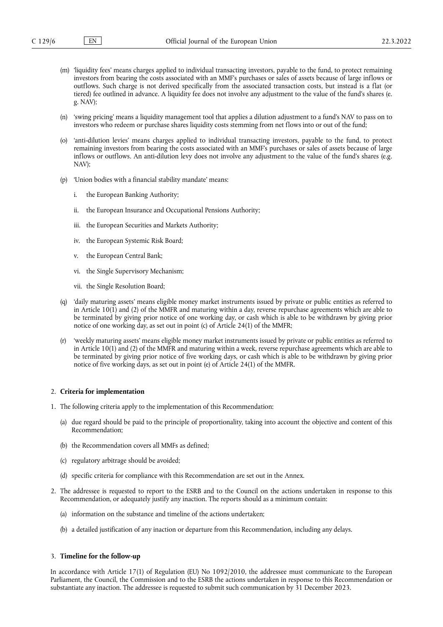- (m) 'liquidity fees' means charges applied to individual transacting investors, payable to the fund, to protect remaining investors from bearing the costs associated with an MMF's purchases or sales of assets because of large inflows or outflows. Such charge is not derived specifically from the associated transaction costs, but instead is a flat (or tiered) fee outlined in advance. A liquidity fee does not involve any adjustment to the value of the fund's shares (e. g. NAV);
- (n) 'swing pricing' means a liquidity management tool that applies a dilution adjustment to a fund's NAV to pass on to investors who redeem or purchase shares liquidity costs stemming from net flows into or out of the fund;
- (o) 'anti-dilution levies' means charges applied to individual transacting investors, payable to the fund, to protect remaining investors from bearing the costs associated with an MMF's purchases or sales of assets because of large inflows or outflows. An anti-dilution levy does not involve any adjustment to the value of the fund's shares (e.g. NAV);
- (p) 'Union bodies with a financial stability mandate' means:
	- i. the European Banking Authority;
	- ii. the European Insurance and Occupational Pensions Authority;
	- iii. the European Securities and Markets Authority;
	- iv. the European Systemic Risk Board;
	- v. the European Central Bank;
	- vi. the Single Supervisory Mechanism;
	- vii. the Single Resolution Board;
- (q) 'daily maturing assets' means eligible money market instruments issued by private or public entities as referred to in Article 10(1) and (2) of the MMFR and maturing within a day, reverse repurchase agreements which are able to be terminated by giving prior notice of one working day, or cash which is able to be withdrawn by giving prior notice of one working day, as set out in point (c) of Article 24(1) of the MMFR;
- (r) 'weekly maturing assets' means eligible money market instruments issued by private or public entities as referred to in Article 10(1) and (2) of the MMFR and maturing within a week, reverse repurchase agreements which are able to be terminated by giving prior notice of five working days, or cash which is able to be withdrawn by giving prior notice of five working days, as set out in point (e) of Article 24(1) of the MMFR.

#### 2. **Criteria for implementation**

- 1. The following criteria apply to the implementation of this Recommendation:
	- (a) due regard should be paid to the principle of proportionality, taking into account the objective and content of this Recommendation;
	- (b) the Recommendation covers all MMFs as defined;
	- (c) regulatory arbitrage should be avoided;
	- (d) specific criteria for compliance with this Recommendation are set out in the Annex.
- 2. The addressee is requested to report to the ESRB and to the Council on the actions undertaken in response to this Recommendation, or adequately justify any inaction. The reports should as a minimum contain:
	- (a) information on the substance and timeline of the actions undertaken;
	- (b) a detailed justification of any inaction or departure from this Recommendation, including any delays.

#### 3. **Timeline for the follow-up**

In accordance with Article 17(1) of Regulation (EU) No 1092/2010, the addressee must communicate to the European Parliament, the Council, the Commission and to the ESRB the actions undertaken in response to this Recommendation or substantiate any inaction. The addressee is requested to submit such communication by 31 December 2023.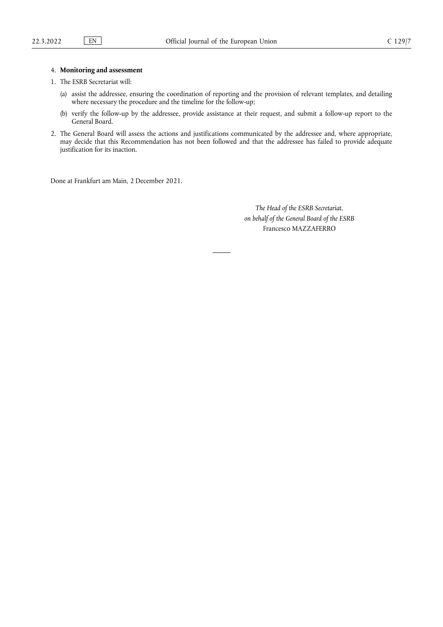## 4. **Monitoring and assessment**

- 1. The ESRB Secretariat will:
	- (a) assist the addressee, ensuring the coordination of reporting and the provision of relevant templates, and detailing where necessary the procedure and the timeline for the follow-up;
	- (b) verify the follow-up by the addressee, provide assistance at their request, and submit a follow-up report to the General Board.
- 2. The General Board will assess the actions and justifications communicated by the addressee and, where appropriate, may decide that this Recommendation has not been followed and that the addressee has failed to provide adequate justification for its inaction.

Done at Frankfurt am Main, 2 December 2021.

*The Head of the ESRB Secretariat, on behalf of the General Board of the ESRB* Francesco MAZZAFERRO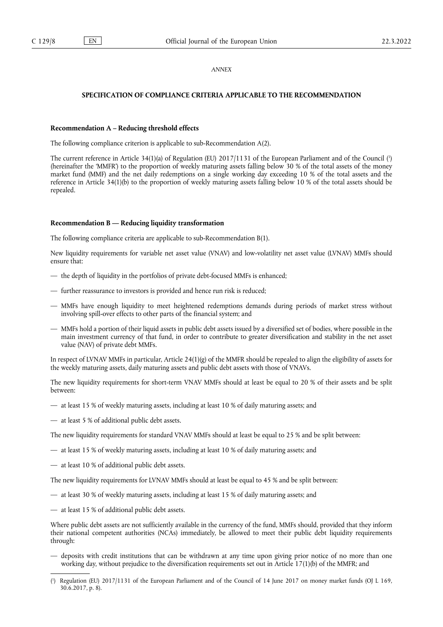## *ANNEX*

## **SPECIFICATION OF COMPLIANCE CRITERIA APPLICABLE TO THE RECOMMENDATION**

### **Recommendation A – Reducing threshold effects**

The following compliance criterion is applicable to sub-Recommendation A(2).

<span id="page-7-1"></span>The current reference in Article 34(1)(a) of Regulation (EU) 2017/1131 of the European Parliament and of the Council [\(](#page-7-0) 1 ) (hereinafter the 'MMFR') to the proportion of weekly maturing assets falling below 30 % of the total assets of the money market fund (MMF) and the net daily redemptions on a single working day exceeding 10 % of the total assets and the reference in Article 34(1)(b) to the proportion of weekly maturing assets falling below 10 % of the total assets should be repealed.

#### **Recommendation B — Reducing liquidity transformation**

The following compliance criteria are applicable to sub-Recommendation B(1).

New liquidity requirements for variable net asset value (VNAV) and low-volatility net asset value (LVNAV) MMFs should ensure that:

- the depth of liquidity in the portfolios of private debt-focused MMFs is enhanced;
- further reassurance to investors is provided and hence run risk is reduced;
- MMFs have enough liquidity to meet heightened redemptions demands during periods of market stress without involving spill-over effects to other parts of the financial system; and
- MMFs hold a portion of their liquid assets in public debt assets issued by a diversified set of bodies, where possible in the main investment currency of that fund, in order to contribute to greater diversification and stability in the net asset value (NAV) of private debt MMFs.

In respect of LVNAV MMFs in particular, Article 24(1)(g) of the MMFR should be repealed to align the eligibility of assets for the weekly maturing assets, daily maturing assets and public debt assets with those of VNAVs.

The new liquidity requirements for short-term VNAV MMFs should at least be equal to 20 % of their assets and be split between:

- at least 15 % of weekly maturing assets, including at least 10 % of daily maturing assets; and
- at least 5 % of additional public debt assets.

The new liquidity requirements for standard VNAV MMFs should at least be equal to 25 % and be split between:

- at least 15 % of weekly maturing assets, including at least 10 % of daily maturing assets; and
- at least 10 % of additional public debt assets.

The new liquidity requirements for LVNAV MMFs should at least be equal to 45 % and be split between:

- at least 30 % of weekly maturing assets, including at least 15 % of daily maturing assets; and
- at least 15 % of additional public debt assets.

Where public debt assets are not sufficiently available in the currency of the fund, MMFs should, provided that they inform their national competent authorities (NCAs) immediately, be allowed to meet their public debt liquidity requirements through:

— deposits with credit institutions that can be withdrawn at any time upon giving prior notice of no more than one working day, without prejudice to the diversification requirements set out in Article 17(1)(b) of the MMFR; and

<span id="page-7-0"></span>[<sup>\(</sup>](#page-7-1) 1 ) Regulation (EU) 2017/1131 of the European Parliament and of the Council of 14 June 2017 on money market funds (OJ L 169, 30.6.2017, p. 8).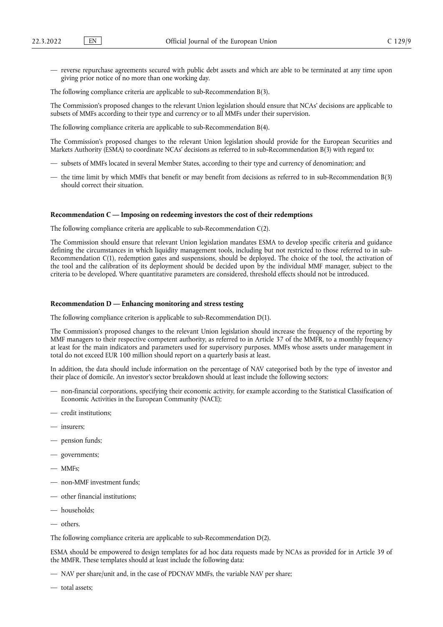— reverse repurchase agreements secured with public debt assets and which are able to be terminated at any time upon giving prior notice of no more than one working day.

The following compliance criteria are applicable to sub-Recommendation B(3).

The Commission's proposed changes to the relevant Union legislation should ensure that NCAs' decisions are applicable to subsets of MMFs according to their type and currency or to all MMFs under their supervision.

The following compliance criteria are applicable to sub-Recommendation B(4).

The Commission's proposed changes to the relevant Union legislation should provide for the European Securities and Markets Authority (ESMA) to coordinate NCAs' decisions as referred to in sub-Recommendation B(3) with regard to:

- subsets of MMFs located in several Member States, according to their type and currency of denomination; and
- the time limit by which MMFs that benefit or may benefit from decisions as referred to in sub-Recommendation B(3) should correct their situation.

#### **Recommendation C — Imposing on redeeming investors the cost of their redemptions**

The following compliance criteria are applicable to sub-Recommendation C(2).

The Commission should ensure that relevant Union legislation mandates ESMA to develop specific criteria and guidance defining the circumstances in which liquidity management tools, including but not restricted to those referred to in sub-Recommendation C(1), redemption gates and suspensions, should be deployed. The choice of the tool, the activation of the tool and the calibration of its deployment should be decided upon by the individual MMF manager, subject to the criteria to be developed. Where quantitative parameters are considered, threshold effects should not be introduced.

## **Recommendation D — Enhancing monitoring and stress testing**

The following compliance criterion is applicable to sub-Recommendation D(1).

The Commission's proposed changes to the relevant Union legislation should increase the frequency of the reporting by MMF managers to their respective competent authority, as referred to in Article 37 of the MMFR, to a monthly frequency at least for the main indicators and parameters used for supervisory purposes. MMFs whose assets under management in total do not exceed EUR 100 million should report on a quarterly basis at least.

In addition, the data should include information on the percentage of NAV categorised both by the type of investor and their place of domicile. An investor's sector breakdown should at least include the following sectors:

- non-financial corporations, specifying their economic activity, for example according to the Statistical Classification of Economic Activities in the European Community (NACE);
- credit institutions;
- insurers;
- pension funds;
- governments;
- MMFs;
- non-MMF investment funds;
- other financial institutions;
- households;
- others.

The following compliance criteria are applicable to sub-Recommendation D(2).

ESMA should be empowered to design templates for ad hoc data requests made by NCAs as provided for in Article 39 of the MMFR. These templates should at least include the following data:

- NAV per share/unit and, in the case of PDCNAV MMFs, the variable NAV per share;
- total assets;